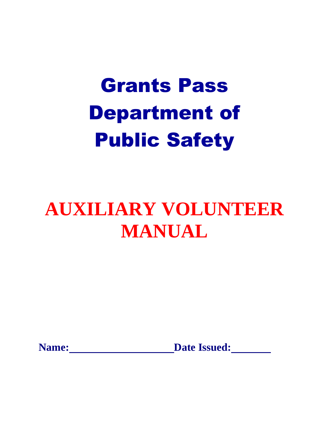## **AUXILIARY VOLUNTEER MANUAL**

**Name:** <u>Date Issued:</u> **Date Issued:**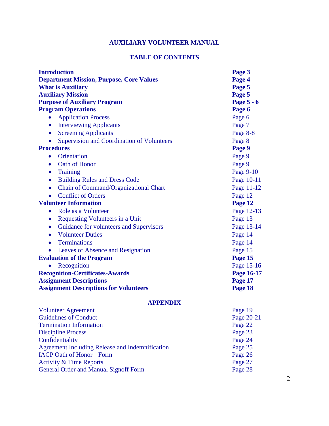#### **AUXILIARY VOLUNTEER MANUAL**

#### **TABLE OF CONTENTS**

| <b>Introduction</b>                                  | Page 3     |  |
|------------------------------------------------------|------------|--|
| <b>Department Mission, Purpose, Core Values</b>      | Page 4     |  |
| <b>What is Auxiliary</b>                             | Page 5     |  |
| <b>Auxiliary Mission</b>                             | Page 5     |  |
| <b>Purpose of Auxiliary Program</b>                  | Page 5 - 6 |  |
| <b>Program Operations</b>                            | Page 6     |  |
| <b>Application Process</b><br>$\bullet$              | Page 6     |  |
| <b>Interviewing Applicants</b><br>$\bullet$          | Page 7     |  |
| <b>Screening Applicants</b><br>$\bullet$             | Page 8-8   |  |
| <b>Supervision and Coordination of Volunteers</b>    | Page 8     |  |
| <b>Procedures</b>                                    | Page 9     |  |
| Orientation<br>$\bullet$                             | Page 9     |  |
| Oath of Honor<br>$\bullet$                           | Page 9     |  |
| <b>Training</b><br>$\bullet$                         | Page 9-10  |  |
| <b>Building Rules and Dress Code</b><br>$\bullet$    | Page 10-11 |  |
| Chain of Command/Organizational Chart<br>$\bullet$   | Page 11-12 |  |
| <b>Conflict of Orders</b><br>$\bullet$               | Page 12    |  |
| <b>Volunteer Information</b>                         | Page 12    |  |
| Role as a Volunteer<br>$\bullet$                     | Page 12-13 |  |
| <b>Requesting Volunteers in a Unit</b><br>$\bullet$  | Page 13    |  |
| Guidance for volunteers and Supervisors<br>$\bullet$ | Page 13-14 |  |
| <b>Volunteer Duties</b><br>$\bullet$                 | Page 14    |  |
| <b>Terminations</b><br>$\bullet$                     | Page 14    |  |
| Leaves of Absence and Resignation                    | Page 15    |  |
| <b>Evaluation of the Program</b>                     | Page 15    |  |
| Recognition                                          | Page 15-16 |  |
| <b>Recognition-Certificates-Awards</b>               | Page 16-17 |  |
| <b>Assignment Descriptions</b>                       | Page 17    |  |
| <b>Assignment Descriptions for Volunteers</b>        | Page 18    |  |

#### **APPENDIX**

| <b>Volunteer Agreement</b>                      | Page 19    |
|-------------------------------------------------|------------|
| <b>Guidelines of Conduct</b>                    | Page 20-21 |
| <b>Termination Information</b>                  | Page 22    |
| <b>Discipline Process</b>                       | Page 23    |
| Confidentiality                                 | Page 24    |
| Agreement Including Release and Indemnification | Page 25    |
| <b>IACP Oath of Honor</b> Form                  | Page 26    |
| <b>Activity &amp; Time Reports</b>              | Page 27    |
| <b>General Order and Manual Signoff Form</b>    | Page 28    |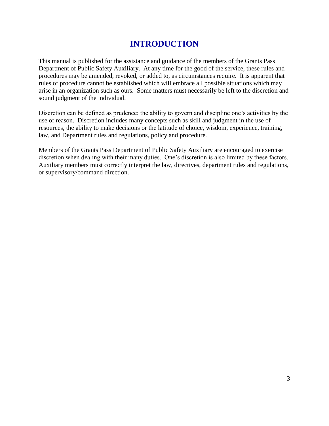## **INTRODUCTION**

This manual is published for the assistance and guidance of the members of the Grants Pass Department of Public Safety Auxiliary. At any time for the good of the service, these rules and procedures may be amended, revoked, or added to, as circumstances require. It is apparent that rules of procedure cannot be established which will embrace all possible situations which may arise in an organization such as ours. Some matters must necessarily be left to the discretion and sound judgment of the individual.

Discretion can be defined as prudence; the ability to govern and discipline one's activities by the use of reason. Discretion includes many concepts such as skill and judgment in the use of resources, the ability to make decisions or the latitude of choice, wisdom, experience, training, law, and Department rules and regulations, policy and procedure.

Members of the Grants Pass Department of Public Safety Auxiliary are encouraged to exercise discretion when dealing with their many duties. One's discretion is also limited by these factors. Auxiliary members must correctly interpret the law, directives, department rules and regulations, or supervisory/command direction.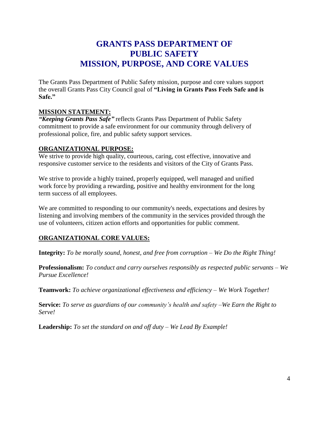## **GRANTS PASS DEPARTMENT OF PUBLIC SAFETY MISSION, PURPOSE, AND CORE VALUES**

The Grants Pass Department of Public Safety mission, purpose and core values support the overall Grants Pass City Council goal of **"Living in Grants Pass Feels Safe and is Safe."**

#### **MISSION STATEMENT:**

*"Keeping Grants Pass Safe"* reflects Grants Pass Department of Public Safety commitment to provide a safe environment for our community through delivery of professional police, fire, and public safety support services.

#### **ORGANIZATIONAL PURPOSE:**

We strive to provide high quality, courteous, caring, cost effective, innovative and responsive customer service to the residents and visitors of the City of Grants Pass.

We strive to provide a highly trained, properly equipped, well managed and unified work force by providing a rewarding, positive and healthy environment for the long term success of all employees.

We are committed to responding to our community's needs, expectations and desires by listening and involving members of the community in the services provided through the use of volunteers, citizen action efforts and opportunities for public comment.

#### **ORGANIZATIONAL CORE VALUES:**

**Integrity:** *To be morally sound, honest, and free from corruption – We Do the Right Thing!* 

**Professionalism:** *To conduct and carry ourselves responsibly as respected public servants – We Pursue Excellence!*

**Teamwork:** *To achieve organizational effectiveness and efficiency – We Work Together!*

**Service:** *To serve as guardians of our community's health and safety –We Earn the Right to Serve!*

**Leadership:** *To set the standard on and off duty – We Lead By Example!*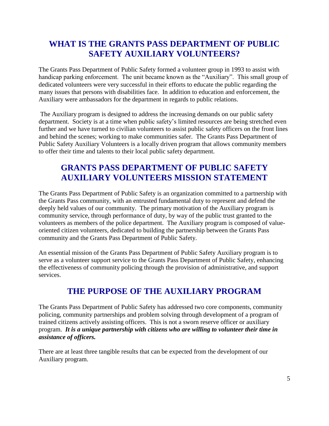## **WHAT IS THE GRANTS PASS DEPARTMENT OF PUBLIC SAFETY AUXILIARY VOLUNTEERS?**

The Grants Pass Department of Public Safety formed a volunteer group in 1993 to assist with handicap parking enforcement. The unit became known as the "Auxiliary". This small group of dedicated volunteers were very successful in their efforts to educate the public regarding the many issues that persons with disabilities face. In addition to education and enforcement, the Auxiliary were ambassadors for the department in regards to public relations.

The Auxiliary program is designed to address the increasing demands on our public safety department. Society is at a time when public safety's limited resources are being stretched even further and we have turned to civilian volunteers to assist public safety officers on the front lines and behind the scenes; working to make communities safer. The Grants Pass Department of Public Safety Auxiliary Volunteers is a locally driven program that allows community members to offer their time and talents to their local public safety department.

## **GRANTS PASS DEPARTMENT OF PUBLIC SAFETY AUXILIARY VOLUNTEERS MISSION STATEMENT**

The Grants Pass Department of Public Safety is an organization committed to a partnership with the Grants Pass community, with an entrusted fundamental duty to represent and defend the deeply held values of our community. The primary motivation of the Auxiliary program is community service, through performance of duty, by way of the public trust granted to the volunteers as members of the police department. The Auxiliary program is composed of valueoriented citizen volunteers, dedicated to building the partnership between the Grants Pass community and the Grants Pass Department of Public Safety.

An essential mission of the Grants Pass Department of Public Safety Auxiliary program is to serve as a volunteer support service to the Grants Pass Department of Public Safety, enhancing the effectiveness of community policing through the provision of administrative, and support services.

## **THE PURPOSE OF THE AUXILIARY PROGRAM**

The Grants Pass Department of Public Safety has addressed two core components, community policing, community partnerships and problem solving through development of a program of trained citizens actively assisting officers. This is not a sworn reserve officer or auxiliary program. *It is a unique partnership with citizens who are willing to volunteer their time in assistance of officers.*

There are at least three tangible results that can be expected from the development of our Auxiliary program.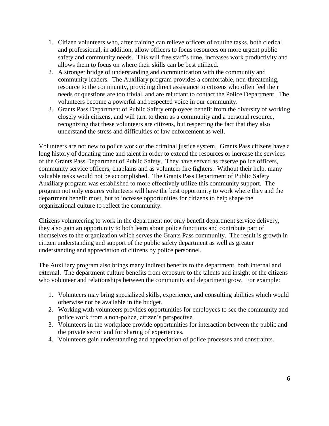- 1. Citizen volunteers who, after training can relieve officers of routine tasks, both clerical and professional, in addition, allow officers to focus resources on more urgent public safety and community needs. This will free staff's time, increases work productivity and allows them to focus on where their skills can be best utilized.
- 2. A stronger bridge of understanding and communication with the community and community leaders. The Auxiliary program provides a comfortable, non-threatening, resource to the community, providing direct assistance to citizens who often feel their needs or questions are too trivial, and are reluctant to contact the Police Department. The volunteers become a powerful and respected voice in our community.
- 3. Grants Pass Department of Public Safety employees benefit from the diversity of working closely with citizens, and will turn to them as a community and a personal resource, recognizing that these volunteers are citizens, but respecting the fact that they also understand the stress and difficulties of law enforcement as well.

Volunteers are not new to police work or the criminal justice system. Grants Pass citizens have a long history of donating time and talent in order to extend the resources or increase the services of the Grants Pass Department of Public Safety. They have served as reserve police officers, community service officers, chaplains and as volunteer fire fighters. Without their help, many valuable tasks would not be accomplished. The Grants Pass Department of Public Safety Auxiliary program was established to more effectively utilize this community support. The program not only ensures volunteers will have the best opportunity to work where they and the department benefit most, but to increase opportunities for citizens to help shape the organizational culture to reflect the community.

Citizens volunteering to work in the department not only benefit department service delivery, they also gain an opportunity to both learn about police functions and contribute part of themselves to the organization which serves the Grants Pass community. The result is growth in citizen understanding and support of the public safety department as well as greater understanding and appreciation of citizens by police personnel.

The Auxiliary program also brings many indirect benefits to the department, both internal and external. The department culture benefits from exposure to the talents and insight of the citizens who volunteer and relationships between the community and department grow. For example:

- 1. Volunteers may bring specialized skills, experience, and consulting abilities which would otherwise not be available in the budget.
- 2. Working with volunteers provides opportunities for employees to see the community and police work from a non-police, citizen's perspective.
- 3. Volunteers in the workplace provide opportunities for interaction between the public and the private sector and for sharing of experiences.
- 4. Volunteers gain understanding and appreciation of police processes and constraints.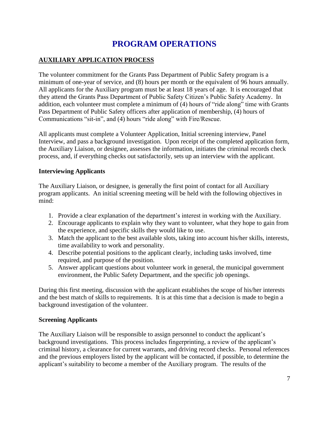## **PROGRAM OPERATIONS**

#### **AUXILIARY APPLICATION PROCESS**

The volunteer commitment for the Grants Pass Department of Public Safety program is a minimum of one-year of service, and (8) hours per month or the equivalent of 96 hours annually. All applicants for the Auxiliary program must be at least 18 years of age. It is encouraged that they attend the Grants Pass Department of Public Safety Citizen's Public Safety Academy. In addition, each volunteer must complete a minimum of (4) hours of "ride along" time with Grants Pass Department of Public Safety officers after application of membership, (4) hours of Communications "sit-in", and (4) hours "ride along" with Fire/Rescue.

All applicants must complete a Volunteer Application, Initial screening interview, Panel Interview, and pass a background investigation. Upon receipt of the completed application form, the Auxiliary Liaison, or designee, assesses the information, initiates the criminal records check process, and, if everything checks out satisfactorily, sets up an interview with the applicant.

#### **Interviewing Applicants**

The Auxiliary Liaison, or designee, is generally the first point of contact for all Auxiliary program applicants. An initial screening meeting will be held with the following objectives in mind:

- 1. Provide a clear explanation of the department's interest in working with the Auxiliary.
- 2. Encourage applicants to explain why they want to volunteer, what they hope to gain from the experience, and specific skills they would like to use.
- 3. Match the applicant to the best available slots, taking into account his/her skills, interests, time availability to work and personality.
- 4. Describe potential positions to the applicant clearly, including tasks involved, time required, and purpose of the position.
- 5. Answer applicant questions about volunteer work in general, the municipal government environment, the Public Safety Department, and the specific job openings.

During this first meeting, discussion with the applicant establishes the scope of his/her interests and the best match of skills to requirements. It is at this time that a decision is made to begin a background investigation of the volunteer.

#### **Screening Applicants**

The Auxiliary Liaison will be responsible to assign personnel to conduct the applicant's background investigations. This process includes fingerprinting, a review of the applicant's criminal history, a clearance for current warrants, and driving record checks. Personal references and the previous employers listed by the applicant will be contacted, if possible, to determine the applicant's suitability to become a member of the Auxiliary program. The results of the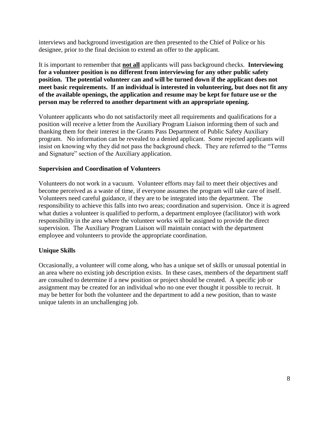interviews and background investigation are then presented to the Chief of Police or his designee, prior to the final decision to extend an offer to the applicant.

It is important to remember that **not all** applicants will pass background checks. **Interviewing for a volunteer position is no different from interviewing for any other public safety position. The potential volunteer can and will be turned down if the applicant does not meet basic requirements. If an individual is interested in volunteering, but does not fit any of the available openings, the application and resume may be kept for future use or the person may be referred to another department with an appropriate opening.**

Volunteer applicants who do not satisfactorily meet all requirements and qualifications for a position will receive a letter from the Auxiliary Program Liaison informing them of such and thanking them for their interest in the Grants Pass Department of Public Safety Auxiliary program. No information can be revealed to a denied applicant. Some rejected applicants will insist on knowing why they did not pass the background check. They are referred to the "Terms and Signature" section of the Auxiliary application.

#### **Supervision and Coordination of Volunteers**

Volunteers do not work in a vacuum. Volunteer efforts may fail to meet their objectives and become perceived as a waste of time, if everyone assumes the program will take care of itself. Volunteers need careful guidance, if they are to be integrated into the department. The responsibility to achieve this falls into two areas; coordination and supervision. Once it is agreed what duties a volunteer is qualified to perform, a department employee (facilitator) with work responsibility in the area where the volunteer works will be assigned to provide the direct supervision. The Auxiliary Program Liaison will maintain contact with the department employee and volunteers to provide the appropriate coordination.

#### **Unique Skills**

Occasionally, a volunteer will come along, who has a unique set of skills or unusual potential in an area where no existing job description exists. In these cases, members of the department staff are consulted to determine if a new position or project should be created. A specific job or assignment may be created for an individual who no one ever thought it possible to recruit. It may be better for both the volunteer and the department to add a new position, than to waste unique talents in an unchallenging job.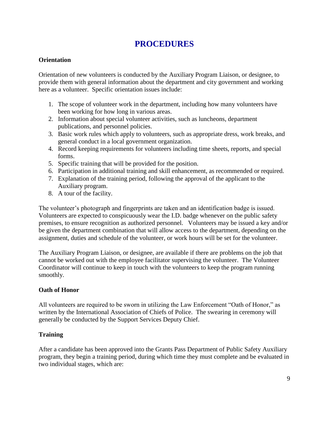## **PROCEDURES**

#### **Orientation**

Orientation of new volunteers is conducted by the Auxiliary Program Liaison, or designee, to provide them with general information about the department and city government and working here as a volunteer. Specific orientation issues include:

- 1. The scope of volunteer work in the department, including how many volunteers have been working for how long in various areas.
- 2. Information about special volunteer activities, such as luncheons, department publications, and personnel policies.
- 3. Basic work rules which apply to volunteers, such as appropriate dress, work breaks, and general conduct in a local government organization.
- 4. Record keeping requirements for volunteers including time sheets, reports, and special forms.
- 5. Specific training that will be provided for the position.
- 6. Participation in additional training and skill enhancement, as recommended or required.
- 7. Explanation of the training period, following the approval of the applicant to the Auxiliary program.
- 8. A tour of the facility.

The volunteer's photograph and fingerprints are taken and an identification badge is issued. Volunteers are expected to conspicuously wear the I.D. badge whenever on the public safety premises, to ensure recognition as authorized personnel. Volunteers may be issued a key and/or be given the department combination that will allow access to the department, depending on the assignment, duties and schedule of the volunteer, or work hours will be set for the volunteer.

The Auxiliary Program Liaison, or designee, are available if there are problems on the job that cannot be worked out with the employee facilitator supervising the volunteer. The Volunteer Coordinator will continue to keep in touch with the volunteers to keep the program running smoothly.

#### **Oath of Honor**

All volunteers are required to be sworn in utilizing the Law Enforcement "Oath of Honor," as written by the International Association of Chiefs of Police. The swearing in ceremony will generally be conducted by the Support Services Deputy Chief.

#### **Training**

After a candidate has been approved into the Grants Pass Department of Public Safety Auxiliary program, they begin a training period, during which time they must complete and be evaluated in two individual stages, which are: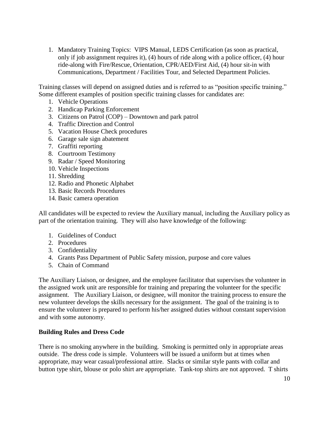1. Mandatory Training Topics: VIPS Manual, LEDS Certification (as soon as practical, only if job assignment requires it), (4) hours of ride along with a police officer, (4) hour ride-along with Fire/Rescue, Orientation, CPR/AED/First Aid, (4) hour sit-in with Communications, Department / Facilities Tour, and Selected Department Policies.

Training classes will depend on assigned duties and is referred to as "position specific training." Some different examples of position specific training classes for candidates are:

- 1. Vehicle Operations
- 2. Handicap Parking Enforcement
- 3. Citizens on Patrol (COP) Downtown and park patrol
- 4. Traffic Direction and Control
- 5. Vacation House Check procedures
- 6. Garage sale sign abatement
- 7. Graffiti reporting
- 8. Courtroom Testimony
- 9. Radar / Speed Monitoring
- 10. Vehicle Inspections
- 11. Shredding
- 12. Radio and Phonetic Alphabet
- 13. Basic Records Procedures
- 14. Basic camera operation

All candidates will be expected to review the Auxiliary manual, including the Auxiliary policy as part of the orientation training. They will also have knowledge of the following:

- 1. Guidelines of Conduct
- 2. Procedures
- 3. Confidentiality
- 4. Grants Pass Department of Public Safety mission, purpose and core values
- 5. Chain of Command

The Auxiliary Liaison, or designee, and the employee facilitator that supervises the volunteer in the assigned work unit are responsible for training and preparing the volunteer for the specific assignment. The Auxiliary Liaison, or designee, will monitor the training process to ensure the new volunteer develops the skills necessary for the assignment. The goal of the training is to ensure the volunteer is prepared to perform his/her assigned duties without constant supervision and with some autonomy.

#### **Building Rules and Dress Code**

There is no smoking anywhere in the building. Smoking is permitted only in appropriate areas outside. The dress code is simple. Volunteers will be issued a uniform but at times when appropriate, may wear casual/professional attire. Slacks or similar style pants with collar and button type shirt, blouse or polo shirt are appropriate. Tank-top shirts are not approved. T shirts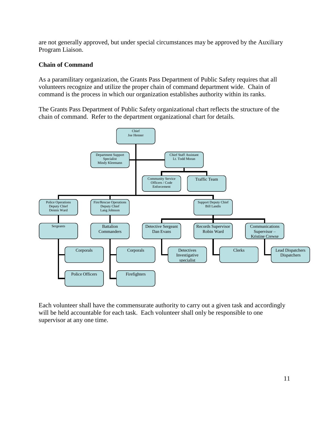are not generally approved, but under special circumstances may be approved by the Auxiliary Program Liaison.

#### **Chain of Command**

As a paramilitary organization, the Grants Pass Department of Public Safety requires that all volunteers recognize and utilize the proper chain of command department wide. Chain of command is the process in which our organization establishes authority within its ranks.

The Grants Pass Department of Public Safety organizational chart reflects the structure of the chain of command. Refer to the department organizational chart for details.



Each volunteer shall have the commensurate authority to carry out a given task and accordingly will be held accountable for each task. Each volunteer shall only be responsible to one supervisor at any one time.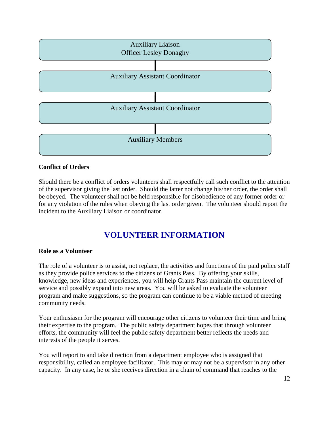

#### **Conflict of Orders**

Should there be a conflict of orders volunteers shall respectfully call such conflict to the attention of the supervisor giving the last order. Should the latter not change his/her order, the order shall be obeyed. The volunteer shall not be held responsible for disobedience of any former order or for any violation of the rules when obeying the last order given. The volunteer should report the incident to the Auxiliary Liaison or coordinator.

## **VOLUNTEER INFORMATION**

#### **Role as a Volunteer**

The role of a volunteer is to assist, not replace, the activities and functions of the paid police staff as they provide police services to the citizens of Grants Pass. By offering your skills, knowledge, new ideas and experiences, you will help Grants Pass maintain the current level of service and possibly expand into new areas. You will be asked to evaluate the volunteer program and make suggestions, so the program can continue to be a viable method of meeting community needs.

Your enthusiasm for the program will encourage other citizens to volunteer their time and bring their expertise to the program. The public safety department hopes that through volunteer efforts, the community will feel the public safety department better reflects the needs and interests of the people it serves.

You will report to and take direction from a department employee who is assigned that responsibility, called an employee facilitator. This may or may not be a supervisor in any other capacity. In any case, he or she receives direction in a chain of command that reaches to the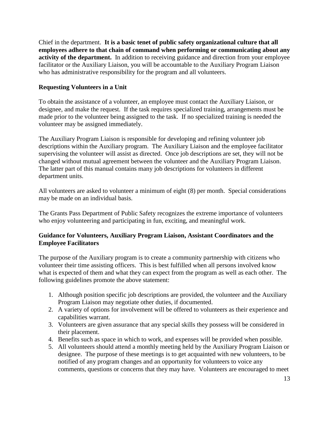Chief in the department. **It is a basic tenet of public safety organizational culture that all employees adhere to that chain of command when performing or communicating about any activity of the department.** In addition to receiving guidance and direction from your employee facilitator or the Auxiliary Liaison, you will be accountable to the Auxiliary Program Liaison who has administrative responsibility for the program and all volunteers.

#### **Requesting Volunteers in a Unit**

To obtain the assistance of a volunteer, an employee must contact the Auxiliary Liaison, or designee, and make the request. If the task requires specialized training, arrangements must be made prior to the volunteer being assigned to the task. If no specialized training is needed the volunteer may be assigned immediately.

The Auxiliary Program Liaison is responsible for developing and refining volunteer job descriptions within the Auxiliary program. The Auxiliary Liaison and the employee facilitator supervising the volunteer will assist as directed. Once job descriptions are set, they will not be changed without mutual agreement between the volunteer and the Auxiliary Program Liaison. The latter part of this manual contains many job descriptions for volunteers in different department units.

All volunteers are asked to volunteer a minimum of eight (8) per month. Special considerations may be made on an individual basis.

The Grants Pass Department of Public Safety recognizes the extreme importance of volunteers who enjoy volunteering and participating in fun, exciting, and meaningful work.

#### **Guidance for Volunteers, Auxiliary Program Liaison, Assistant Coordinators and the Employee Facilitators**

The purpose of the Auxiliary program is to create a community partnership with citizens who volunteer their time assisting officers. This is best fulfilled when all persons involved know what is expected of them and what they can expect from the program as well as each other. The following guidelines promote the above statement:

- 1. Although position specific job descriptions are provided, the volunteer and the Auxiliary Program Liaison may negotiate other duties, if documented.
- 2. A variety of options for involvement will be offered to volunteers as their experience and capabilities warrant.
- 3. Volunteers are given assurance that any special skills they possess will be considered in their placement.
- 4. Benefits such as space in which to work, and expenses will be provided when possible.
- 5. All volunteers should attend a monthly meeting held by the Auxiliary Program Liaison or designee. The purpose of these meetings is to get acquainted with new volunteers, to be notified of any program changes and an opportunity for volunteers to voice any comments, questions or concerns that they may have. Volunteers are encouraged to meet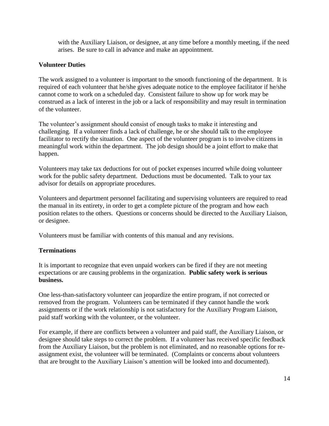with the Auxiliary Liaison, or designee, at any time before a monthly meeting, if the need arises. Be sure to call in advance and make an appointment.

#### **Volunteer Duties**

The work assigned to a volunteer is important to the smooth functioning of the department. It is required of each volunteer that he/she gives adequate notice to the employee facilitator if he/she cannot come to work on a scheduled day. Consistent failure to show up for work may be construed as a lack of interest in the job or a lack of responsibility and may result in termination of the volunteer.

The volunteer's assignment should consist of enough tasks to make it interesting and challenging. If a volunteer finds a lack of challenge, he or she should talk to the employee facilitator to rectify the situation. One aspect of the volunteer program is to involve citizens in meaningful work within the department. The job design should be a joint effort to make that happen.

Volunteers may take tax deductions for out of pocket expenses incurred while doing volunteer work for the public safety department. Deductions must be documented. Talk to your tax advisor for details on appropriate procedures.

Volunteers and department personnel facilitating and supervising volunteers are required to read the manual in its entirety, in order to get a complete picture of the program and how each position relates to the others. Questions or concerns should be directed to the Auxiliary Liaison, or designee.

Volunteers must be familiar with contents of this manual and any revisions.

#### **Terminations**

It is important to recognize that even unpaid workers can be fired if they are not meeting expectations or are causing problems in the organization. **Public safety work is serious business.** 

One less-than-satisfactory volunteer can jeopardize the entire program, if not corrected or removed from the program. Volunteers can be terminated if they cannot handle the work assignments or if the work relationship is not satisfactory for the Auxiliary Program Liaison, paid staff working with the volunteer, or the volunteer.

For example, if there are conflicts between a volunteer and paid staff, the Auxiliary Liaison, or designee should take steps to correct the problem. If a volunteer has received specific feedback from the Auxiliary Liaison, but the problem is not eliminated, and no reasonable options for reassignment exist, the volunteer will be terminated. (Complaints or concerns about volunteers that are brought to the Auxiliary Liaison's attention will be looked into and documented).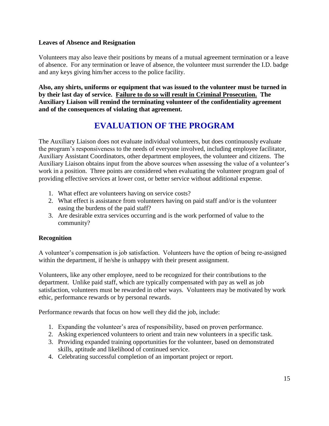#### **Leaves of Absence and Resignation**

Volunteers may also leave their positions by means of a mutual agreement termination or a leave of absence. For any termination or leave of absence, the volunteer must surrender the I.D. badge and any keys giving him/her access to the police facility.

**Also, any shirts, uniforms or equipment that was issued to the volunteer must be turned in by their last day of service. Failure to do so will result in Criminal Prosecution. The Auxiliary Liaison will remind the terminating volunteer of the confidentiality agreement and of the consequences of violating that agreement.**

## **EVALUATION OF THE PROGRAM**

The Auxiliary Liaison does not evaluate individual volunteers, but does continuously evaluate the program's responsiveness to the needs of everyone involved, including employee facilitator, Auxiliary Assistant Coordinators, other department employees, the volunteer and citizens. The Auxiliary Liaison obtains input from the above sources when assessing the value of a volunteer's work in a position. Three points are considered when evaluating the volunteer program goal of providing effective services at lower cost, or better service without additional expense.

- 1. What effect are volunteers having on service costs?
- 2. What effect is assistance from volunteers having on paid staff and/or is the volunteer easing the burdens of the paid staff?
- 3. Are desirable extra services occurring and is the work performed of value to the community?

#### **Recognition**

A volunteer's compensation is job satisfaction. Volunteers have the option of being re-assigned within the department, if he/she is unhappy with their present assignment.

Volunteers, like any other employee, need to be recognized for their contributions to the department. Unlike paid staff, which are typically compensated with pay as well as job satisfaction, volunteers must be rewarded in other ways. Volunteers may be motivated by work ethic, performance rewards or by personal rewards.

Performance rewards that focus on how well they did the job, include:

- 1. Expanding the volunteer's area of responsibility, based on proven performance.
- 2. Asking experienced volunteers to orient and train new volunteers in a specific task.
- 3. Providing expanded training opportunities for the volunteer, based on demonstrated skills, aptitude and likelihood of continued service.
- 4. Celebrating successful completion of an important project or report.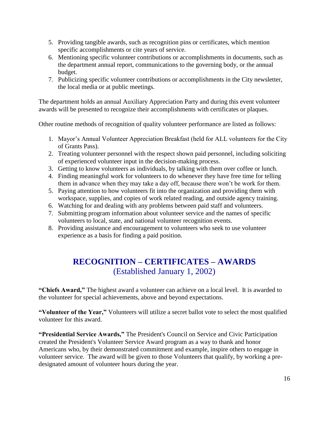- 5. Providing tangible awards, such as recognition pins or certificates, which mention specific accomplishments or cite years of service.
- 6. Mentioning specific volunteer contributions or accomplishments in documents, such as the department annual report, communications to the governing body, or the annual budget.
- 7. Publicizing specific volunteer contributions or accomplishments in the City newsletter, the local media or at public meetings.

The department holds an annual Auxiliary Appreciation Party and during this event volunteer awards will be presented to recognize their accomplishments with certificates or plaques.

Other routine methods of recognition of quality volunteer performance are listed as follows:

- 1. Mayor's Annual Volunteer Appreciation Breakfast (held for ALL volunteers for the City of Grants Pass).
- 2. Treating volunteer personnel with the respect shown paid personnel, including soliciting of experienced volunteer input in the decision-making process.
- 3. Getting to know volunteers as individuals, by talking with them over coffee or lunch.
- 4. Finding meaningful work for volunteers to do whenever they have free time for telling them in advance when they may take a day off, because there won't be work for them.
- 5. Paying attention to how volunteers fit into the organization and providing them with workspace, supplies, and copies of work related reading, and outside agency training.
- 6. Watching for and dealing with any problems between paid staff and volunteers.
- 7. Submitting program information about volunteer service and the names of specific volunteers to local, state, and national volunteer recognition events.
- 8. Providing assistance and encouragement to volunteers who seek to use volunteer experience as a basis for finding a paid position.

## **RECOGNITION – CERTIFICATES – AWARDS** (Established January 1, 2002)

**"Chiefs Award,"** The highest award a volunteer can achieve on a local level. It is awarded to the volunteer for special achievements, above and beyond expectations.

**"Volunteer of the Year,"** Volunteers will utilize a secret ballot vote to select the most qualified volunteer for this award.

**"Presidential Service Awards,"** The President's Council on Service and Civic Participation created the President's Volunteer Service Award program as a way to thank and honor Americans who, by their demonstrated commitment and example, inspire others to engage in volunteer service. The award will be given to those Volunteers that qualify, by working a predesignated amount of volunteer hours during the year.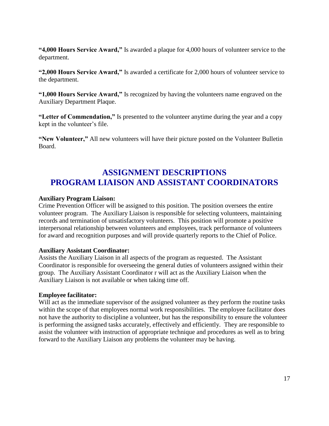**"4,000 Hours Service Award,"** Is awarded a plaque for 4,000 hours of volunteer service to the department.

**"2,000 Hours Service Award,"** Is awarded a certificate for 2,000 hours of volunteer service to the department.

**"1,000 Hours Service Award,"** Is recognized by having the volunteers name engraved on the Auxiliary Department Plaque.

**"Letter of Commendation,"** Is presented to the volunteer anytime during the year and a copy kept in the volunteer's file.

**"New Volunteer,"** All new volunteers will have their picture posted on the Volunteer Bulletin Board.

## **ASSIGNMENT DESCRIPTIONS PROGRAM LIAISON AND ASSISTANT COORDINATORS**

#### **Auxiliary Program Liaison:**

Crime Prevention Officer will be assigned to this position. The position oversees the entire volunteer program. The Auxiliary Liaison is responsible for selecting volunteers, maintaining records and termination of unsatisfactory volunteers. This position will promote a positive interpersonal relationship between volunteers and employees, track performance of volunteers for award and recognition purposes and will provide quarterly reports to the Chief of Police.

#### **Auxiliary Assistant Coordinator:**

Assists the Auxiliary Liaison in all aspects of the program as requested. The Assistant Coordinator is responsible for overseeing the general duties of volunteers assigned within their group. The Auxiliary Assistant Coordinator r will act as the Auxiliary Liaison when the Auxiliary Liaison is not available or when taking time off.

#### **Employee facilitator:**

Will act as the immediate supervisor of the assigned volunteer as they perform the routine tasks within the scope of that employees normal work responsibilities. The employee facilitator does not have the authority to discipline a volunteer, but has the responsibility to ensure the volunteer is performing the assigned tasks accurately, effectively and efficiently. They are responsible to assist the volunteer with instruction of appropriate technique and procedures as well as to bring forward to the Auxiliary Liaison any problems the volunteer may be having.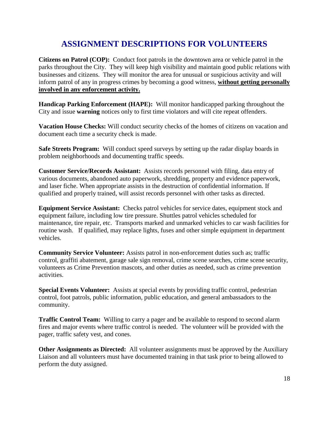## **ASSIGNMENT DESCRIPTIONS FOR VOLUNTEERS**

**Citizens on Patrol (COP):** Conduct foot patrols in the downtown area or vehicle patrol in the parks throughout the City. They will keep high visibility and maintain good public relations with businesses and citizens. They will monitor the area for unusual or suspicious activity and will inform patrol of any in progress crimes by becoming a good witness, **without getting personally involved in any enforcement activity.**

**Handicap Parking Enforcement (HAPE):** Will monitor handicapped parking throughout the City and issue **warning** notices only to first time violators and will cite repeat offenders.

**Vacation House Checks:** Will conduct security checks of the homes of citizens on vacation and document each time a security check is made.

**Safe Streets Program:** Will conduct speed surveys by setting up the radar display boards in problem neighborhoods and documenting traffic speeds.

**Customer Service/Records Assistant:** Assists records personnel with filing, data entry of various documents, abandoned auto paperwork, shredding, property and evidence paperwork, and laser fiche. When appropriate assists in the destruction of confidential information. If qualified and properly trained, will assist records personnel with other tasks as directed.

**Equipment Service Assistant:** Checks patrol vehicles for service dates, equipment stock and equipment failure, including low tire pressure. Shuttles patrol vehicles scheduled for maintenance, tire repair, etc. Transports marked and unmarked vehicles to car wash facilities for routine wash. If qualified, may replace lights, fuses and other simple equipment in department vehicles.

**Community Service Volunteer:** Assists patrol in non-enforcement duties such as; traffic control, graffiti abatement, garage sale sign removal, crime scene searches, crime scene security, volunteers as Crime Prevention mascots, and other duties as needed, such as crime prevention activities.

**Special Events Volunteer:** Assists at special events by providing traffic control, pedestrian control, foot patrols, public information, public education, and general ambassadors to the community.

**Traffic Control Team:** Willing to carry a pager and be available to respond to second alarm fires and major events where traffic control is needed. The volunteer will be provided with the pager, traffic safety vest, and cones.

**Other Assignments as Directed:** All volunteer assignments must be approved by the Auxiliary Liaison and all volunteers must have documented training in that task prior to being allowed to perform the duty assigned.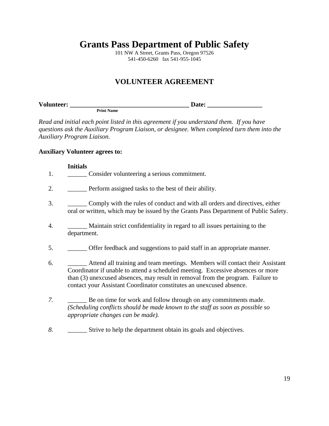101 NW A Street, Grants Pass, Oregon 97526 541-450-6260 fax 541-955-1045

#### **VOLUNTEER AGREEMENT**

| <b>Volunteer:</b> |               | Jater. |
|-------------------|---------------|--------|
|                   | FFIIIL INAHIE |        |

*Read and initial each point listed in this agreement if you understand them. If you have questions ask the Auxiliary Program Liaison, or designee. When completed turn them into the Auxiliary Program Liaison.*

#### **Auxiliary Volunteer agrees to:**

#### **Initials**

- 1. \_\_\_\_\_\_\_\_\_ Consider volunteering a serious commitment.
- 2. **Perform assigned tasks to the best of their ability.**
- 3. \_\_\_\_\_\_ Comply with the rules of conduct and with all orders and directives, either oral or written, which may be issued by the Grants Pass Department of Public Safety.
- 4. \_\_\_\_\_\_ Maintain strict confidentiality in regard to all issues pertaining to the department.
- 5. \_\_\_\_\_\_ Offer feedback and suggestions to paid staff in an appropriate manner.
- 6. \_\_\_\_\_\_ Attend all training and team meetings. Members will contact their Assistant Coordinator if unable to attend a scheduled meeting. Excessive absences or more than (3) unexcused absences, may result in removal from the program. Failure to contact your Assistant Coordinator constitutes an unexcused absence.
- *7.* \_\_\_\_\_\_ Be on time for work and follow through on any commitments made. *(Scheduling conflicts should be made known to the staff as soon as possible so appropriate changes can be made).*
- *8.* \_\_\_\_\_\_ Strive to help the department obtain its goals and objectives.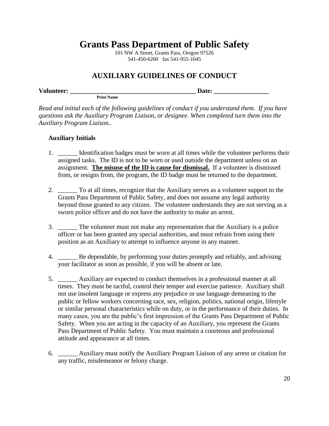101 NW A Street, Grants Pass, Oregon 97526 541-450-6260 fax 541-955-1045

#### **AUXILIARY GUIDELINES OF CONDUCT**

**Volunteer: \_\_\_\_\_\_\_\_\_\_\_\_\_\_\_\_\_\_\_\_\_\_\_\_\_\_\_\_\_\_\_\_\_\_\_\_\_\_\_ Date: \_\_\_\_\_\_\_\_\_\_\_\_\_\_\_\_\_**

*Read and initial each of the following guidelines of conduct if you understand them. If you have questions ask the Auxiliary Program Liaison, or designee. When completed turn them into the Auxiliary Program Liaison..*

#### **Auxiliary Initials**

**Print Name**

- 1. **IDENTIFICATE:** Identification badges must be worn at all times while the volunteer performs their assigned tasks. The ID is not to be worn or used outside the department unless on an assignment. **The misuse of the ID is cause for dismissal.** If a volunteer is dismissed from, or resigns from, the program, the ID badge must be returned to the department.
- 2. \_\_\_\_\_\_ To at all times, recognize that the Auxiliary serves as a volunteer support to the Grants Pass Department of Public Safety, and does not assume any legal authority beyond those granted to any citizen. The volunteer understands they are not serving as a sworn police officer and do not have the authority to make an arrest.
- 3. \_\_\_\_\_\_ The volunteer must not make any representation that the Auxiliary is a police officer or has been granted any special authorities, and must refrain from using their position as an Auxiliary to attempt to influence anyone in any manner.
- 4. \_\_\_\_\_\_ Be dependable, by performing your duties promptly and reliably, and advising your facilitator as soon as possible, if you will be absent or late.
- 5. \_\_\_\_\_\_ Auxiliary are expected to conduct themselves in a professional manner at all times. They must be tactful, control their temper and exercise patience. Auxiliary shall not use insolent language or express any prejudice or use language demeaning to the public or fellow workers concerning race, sex, religion, politics, national origin, lifestyle or similar personal characteristics while on duty, or in the performance of their duties. In many cases, you are the public's first impression of the Grants Pass Department of Public Safety. When you are acting in the capacity of an Auxiliary, you represent the Grants Pass Department of Public Safety. You must maintain a courteous and professional attitude and appearance at all times.
- 6. \_\_\_\_\_\_ Auxiliary must notify the Auxiliary Program Liaison of any arrest or citation for any traffic, misdemeanor or felony charge.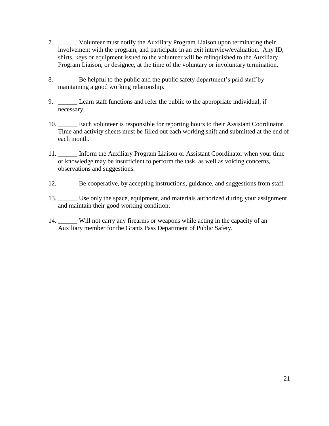- 7. \_\_\_\_\_\_ Volunteer must notify the Auxiliary Program Liaison upon terminating their involvement with the program, and participate in an exit interview/evaluation. Any ID, shirts, keys or equipment issued to the volunteer will be relinquished to the Auxiliary Program Liaison, or designee, at the time of the voluntary or involuntary termination.
- 8. \_\_\_\_\_\_ Be helpful to the public and the public safety department's paid staff by maintaining a good working relationship.
- 9. \_\_\_\_\_\_ Learn staff functions and refer the public to the appropriate individual, if necessary.
- 10. \_\_\_\_\_\_ Each volunteer is responsible for reporting hours to their Assistant Coordinator. Time and activity sheets must be filled out each working shift and submitted at the end of each month.
- 11. \_\_\_\_\_\_ Inform the Auxiliary Program Liaison or Assistant Coordinator when your time or knowledge may be insufficient to perform the task, as well as voicing concerns, observations and suggestions.
- 12. \_\_\_\_\_\_ Be cooperative, by accepting instructions, guidance, and suggestions from staff.
- 13. Use only the space, equipment, and materials authorized during your assignment and maintain their good working condition.
- 14. \_\_\_\_\_\_ Will not carry any firearms or weapons while acting in the capacity of an Auxiliary member for the Grants Pass Department of Public Safety.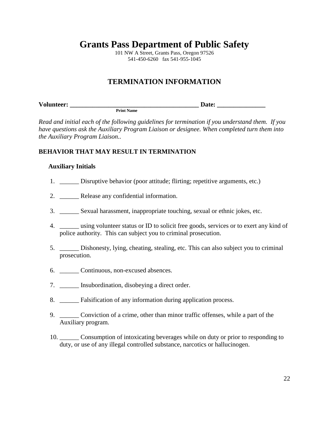101 NW A Street, Grants Pass, Oregon 97526 541-450-6260 fax 541-955-1045

#### **TERMINATION INFORMATION**

| <b>Volunteer:</b> |                   | 0.40<br>131 е |
|-------------------|-------------------|---------------|
|                   | <b>Print Name</b> |               |

*Read and initial each of the following guidelines for termination if you understand them. If you have questions ask the Auxiliary Program Liaison or designee. When completed turn them into the Auxiliary Program Liaison..*

#### **BEHAVIOR THAT MAY RESULT IN TERMINATION**

#### **Auxiliary Initials**

- 1. Disruptive behavior (poor attitude; flirting; repetitive arguments, etc.)
- 2. Release any confidential information.
- 3. \_\_\_\_\_\_ Sexual harassment, inappropriate touching, sexual or ethnic jokes, etc.
- 4. \_\_\_\_\_\_ using volunteer status or ID to solicit free goods, services or to exert any kind of police authority. This can subject you to criminal prosecution.
- 5. \_\_\_\_\_\_ Dishonesty, lying, cheating, stealing, etc. This can also subject you to criminal prosecution.
- 6. \_\_\_\_\_\_ Continuous, non-excused absences.
- 7. \_\_\_\_\_\_ Insubordination, disobeying a direct order.
- 8. **Ealsification of any information during application process.**
- 9. \_\_\_\_\_\_ Conviction of a crime, other than minor traffic offenses, while a part of the Auxiliary program.
- 10. \_\_\_\_\_\_ Consumption of intoxicating beverages while on duty or prior to responding to duty, or use of any illegal controlled substance, narcotics or hallucinogen.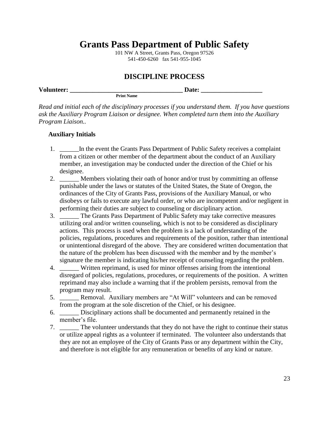101 NW A Street, Grants Pass, Oregon 97526 541-450-6260 fax 541-955-1045

#### **DISCIPLINE PROCESS**

| <b>Volunteer:</b> |                   | .Jater |  |
|-------------------|-------------------|--------|--|
|                   | <b>Print Name</b> |        |  |

*Read and initial each of the disciplinary processes if you understand them. If you have questions ask the Auxiliary Program Liaison or designee. When completed turn them into the Auxiliary Program Liaison..*

#### **Auxiliary Initials**

- 1. In the event the Grants Pass Department of Public Safety receives a complaint from a citizen or other member of the department about the conduct of an Auxiliary member, an investigation may be conducted under the direction of the Chief or his designee.
- 2. **Example 1.1** Members violating their oath of honor and/or trust by committing an offense punishable under the laws or statutes of the United States, the State of Oregon, the ordinances of the City of Grants Pass, provisions of the Auxiliary Manual, or who disobeys or fails to execute any lawful order, or who are incompetent and/or negligent in performing their duties are subject to counseling or disciplinary action.
- 3. \_\_\_\_\_\_ The Grants Pass Department of Public Safety may take corrective measures utilizing oral and/or written counseling, which is not to be considered as disciplinary actions. This process is used when the problem is a lack of understanding of the policies, regulations, procedures and requirements of the position, rather than intentional or unintentional disregard of the above. They are considered written documentation that the nature of the problem has been discussed with the member and by the member's signature the member is indicating his/her receipt of counseling regarding the problem.
- 4. Written reprimand, is used for minor offenses arising from the intentional disregard of policies, regulations, procedures, or requirements of the position. A written reprimand may also include a warning that if the problem persists, removal from the program may result.
- 5. \_\_\_\_\_\_ Removal. Auxiliary members are "At Will" volunteers and can be removed from the program at the sole discretion of the Chief, or his designee.
- 6. \_\_\_\_\_\_ Disciplinary actions shall be documented and permanently retained in the member's file.
- 7. \_\_\_\_\_\_ The volunteer understands that they do not have the right to continue their status or utilize appeal rights as a volunteer if terminated. The volunteer also understands that they are not an employee of the City of Grants Pass or any department within the City, and therefore is not eligible for any remuneration or benefits of any kind or nature.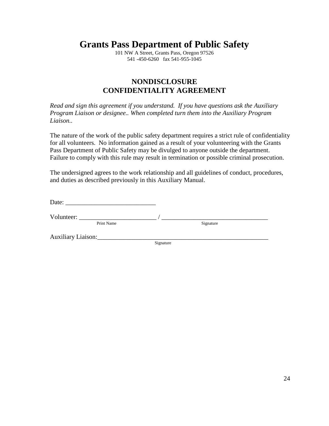101 NW A Street, Grants Pass, Oregon 97526 541 -450-6260 fax 541-955-1045

#### **NONDISCLOSURE CONFIDENTIALITY AGREEMENT**

*Read and sign this agreement if you understand. If you have questions ask the Auxiliary Program Liaison or designee.. When completed turn them into the Auxiliary Program Liaison..*

The nature of the work of the public safety department requires a strict rule of confidentiality for all volunteers. No information gained as a result of your volunteering with the Grants Pass Department of Public Safety may be divulged to anyone outside the department. Failure to comply with this rule may result in termination or possible criminal prosecution.

The undersigned agrees to the work relationship and all guidelines of conduct, procedures, and duties as described previously in this Auxiliary Manual.

Date:  $\Box$ 

Print Name

Volunteer: \_\_\_\_\_\_\_\_\_\_\_\_\_\_\_\_\_\_\_\_\_\_\_\_ / \_\_\_\_\_\_\_\_\_\_\_\_\_\_\_\_\_\_\_\_\_\_\_\_\_\_\_\_\_\_\_\_\_

Auxiliary Liaison:\_\_\_\_\_\_\_\_\_\_\_\_\_\_\_\_\_\_\_\_\_\_\_\_\_\_\_\_\_\_\_\_\_\_\_\_\_\_\_\_\_\_\_\_\_\_\_\_\_\_\_\_\_

Signature